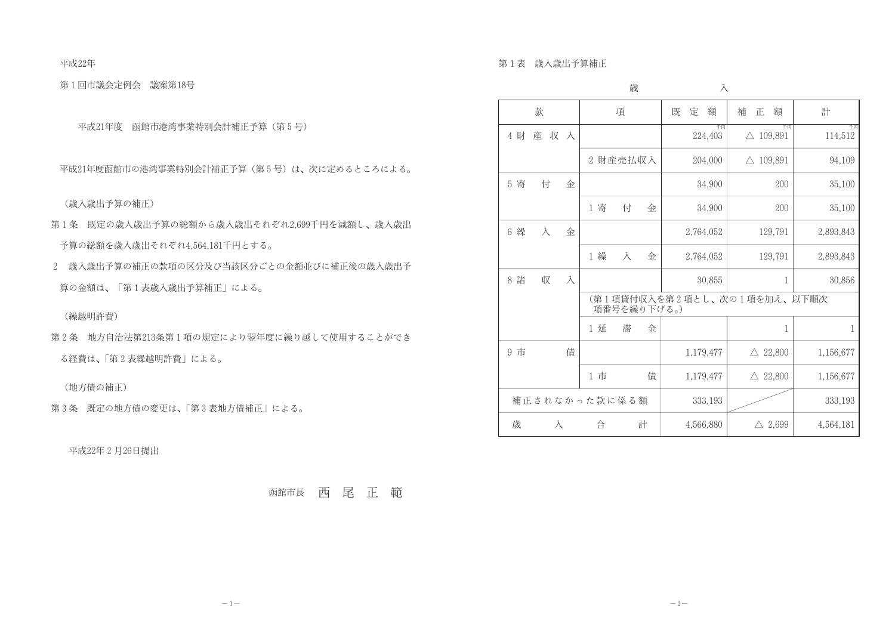平成22年

第1回市議会定例会 議案第18号

平成21年度 函館市港湾事業特別会計補正予算(第5号)

平成21年度函館市の港湾事業特別会計補正予算(第5号)は、次に定めるところによる。

(歳入歳出予算の補正)

- 第1条 既定の歳入歳出予算の総額から歳入歳出それぞれ2,699千円を減額し、歳入歳出 予算の総額を歳入歳出それぞれ4,564,181千円とする。
- 2 歳入歳出予算の補正の款項の区分及び当該区分ごとの金額並びに補正後の歳入歳出予 算の金額は、「第1表歳入歳出予算補正」による。

(繰越明許費)

第2条 地方自治法第213条第1項の規定により翌年度に繰り越して使用することができ る経費は、「第2表繰越明許費」による。

(地方債の補正)

第3条 既定の地方債の変更は、「第3表地方債補正」による。

平成22年2月26日提出

函館市長 西尾正範

第1表 歳入歳出予算補正

|                            | 歳                                          | 入             |                           |               |
|----------------------------|--------------------------------------------|---------------|---------------------------|---------------|
| 款                          | 項                                          | 既<br>定<br>額   | 補<br>額<br>正               | 計             |
| 4 財<br>収<br>産<br>$\lambda$ |                                            | 千円<br>224,403 | 千円<br>$\triangle$ 109,891 | 千円<br>114,512 |
|                            | 財産売払収入<br>$\overline{2}$                   | 204,000       | $\triangle$ 109,891       | 94,109        |
| 5 寄<br>付<br>金              |                                            | 34,900        | 200                       | 35,100        |
|                            | 1 寄<br>付<br>金                              | 34,900        | 200                       | 35,100        |
| 6 繰<br>$\lambda$<br>金      |                                            | 2,764,052     | 129,791                   | 2,893,843     |
|                            | 1 繰<br>$\lambda$<br>金                      | 2,764,052     | 129,791                   | 2,893,843     |
| 8 諸<br>収<br>$\lambda$      |                                            | 30,855        | $\mathbf{1}$              | 30,856        |
|                            | (第1項貸付収入を第2項とし、次の1項を加え、以下順次<br>項番号を繰り下げる。) |               |                           |               |
|                            | 滞<br>1 延<br>金                              |               | 1                         | 1             |
| 債<br>9 市                   |                                            | 1,179,477     | $\triangle$ 22,800        | 1,156,677     |
|                            | 1 市<br>債                                   | 1,179,477     | $\triangle$ 22,800        | 1,156,677     |
|                            | 補正されなかった款に係る額                              | 333,193       |                           | 333,193       |
| 歳<br>入                     | 計<br>合                                     | 4,566,880     | $\triangle$ 2,699         | 4,564,181     |

 $-2-$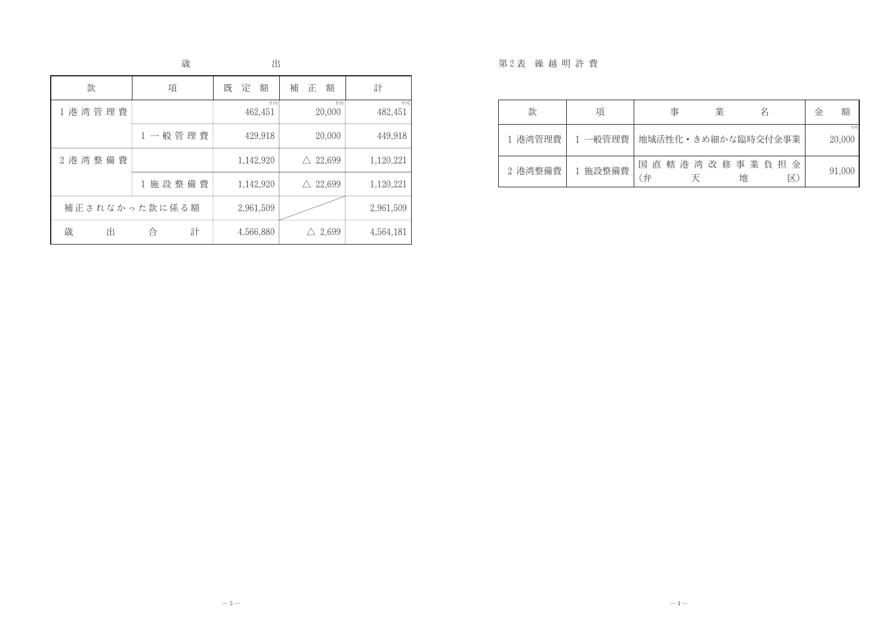## 歳

出

| 款           | 項                     | 定<br>額<br>既   | 補<br>額<br>止           | 計             |
|-------------|-----------------------|---------------|-----------------------|---------------|
| 1 港湾管理費     |                       | 千円<br>462,451 | 千円<br>20,000          | 千日<br>482,451 |
|             | 1一般管理費                | 429,918       | 20,000                | 449,918       |
| 2 港 湾 整 備 費 |                       | 1,142,920     | 22,699<br>$\triangle$ | 1,120,221     |
|             | 施設整備費<br>$\mathbf{1}$ | 1,142,920     | 22,699<br>$\wedge$    | 1,120,221     |
|             | 補正されなかった款に係る額         | 2,961,509     |                       | 2,961,509     |
| 歳<br>出      | 計<br>合                | 4,566,880     | 2,699                 | 4,564,181     |

## 第2表 繰越明許費

| 款       | 項       | 事           | 業 | 名                   | 金 | 額            |
|---------|---------|-------------|---|---------------------|---|--------------|
| 港湾管理費   | 1 一般管理費 |             |   | 地域活性化・きめ細かな臨時交付金事業  |   | 千円<br>20,000 |
| 2 港湾整備費 | 施設整備費   | 直<br>国<br>弁 |   | 轄港湾改修事業負担<br>金<br>地 |   | 91,000       |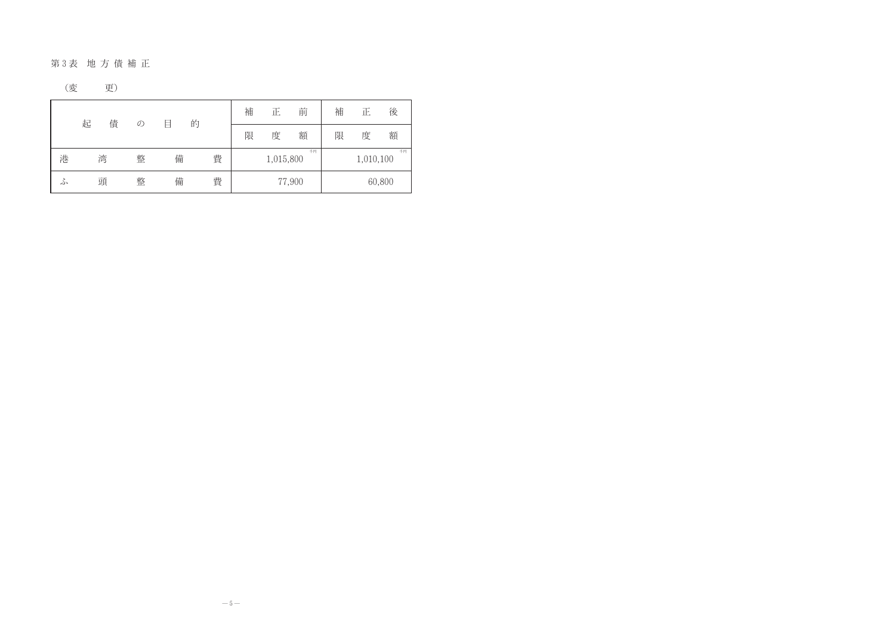## 第3表 地方債補正

$$
(\circled{\hspace{-2pt}}\,\overline{\hspace{-2pt}}\,\hspace{-2pt}E)
$$

|   | 起 | 債 | $\mathcal{O}$ | 目 | 的 |   | 補 | 正         | 前      | 補 | 正         | 後      |
|---|---|---|---------------|---|---|---|---|-----------|--------|---|-----------|--------|
|   |   |   |               |   |   |   | 限 | 度         | 額      | 限 | 度         | 額      |
| 港 |   | 湾 | 整             | 備 |   | 費 |   | 1,015,800 | 千円     |   | 1,010,100 | 千円     |
| ふ |   | 頭 | 整             | 備 |   | 費 |   |           | 77,900 |   |           | 60,800 |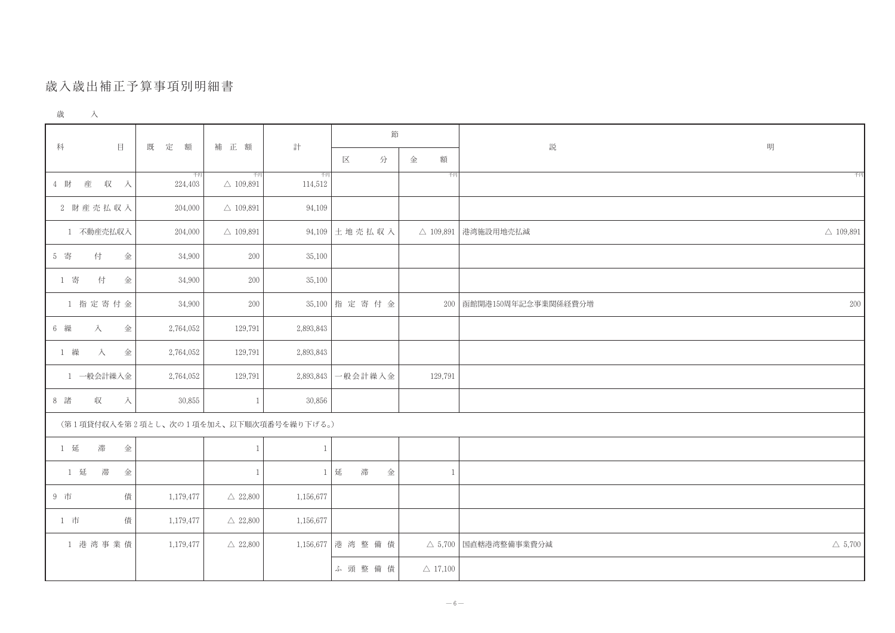## 歲入歲出補正予算事項別明細書

| 歳 |
|---|
|---|

|                                        |               |                           | 計             | 節           |                     |                     |
|----------------------------------------|---------------|---------------------------|---------------|-------------|---------------------|---------------------|
| 目<br>科                                 | 既<br>定<br>額   | 補 正 額                     |               | 分<br>区      | 額<br>金              | 説                   |
| 4 財<br>産<br>収<br>一入                    | 千円<br>224,403 | 千円<br>$\triangle$ 109,891 | 千円<br>114,512 |             | 千円                  |                     |
| 2 財産売払収入                               | 204,000       | $\triangle$ 109,891       | 94,109        |             |                     |                     |
| 1 不動産売払収入                              | 204,000       | $\triangle$ 109,891       | 94,109        | 土地壳払収入      | $\triangle$ 109,891 | 港湾施設用地壳払減           |
| 5 寄<br>付<br>金                          | 34,900        | $200\,$                   | 35,100        |             |                     |                     |
| 1 寄<br>付<br>金                          | 34,900        | $200\,$                   | 35,100        |             |                     |                     |
| 1 指定寄付金                                | 34,900        | 200                       | 35,100        | 指定寄付金       | 200                 | 函館開港150周年記念事業関係経費分増 |
| 入<br>6 繰<br>金                          | 2,764,052     | 129,791                   | 2,893,843     |             |                     |                     |
| 1 繰<br>金<br>入                          | 2,764,052     | 129,791                   | 2,893,843     |             |                     |                     |
| 1 一般会計繰入金                              | 2,764,052     | 129,791                   | 2,893,843     | 一般会計繰入金     | 129,791             |                     |
| 8 諸<br>収<br>$\lambda$                  | 30,855        | $\mathbf{1}$              | 30,856        |             |                     |                     |
| (第1項貸付収入を第2項とし、次の1項を加え、以下順次項番号を繰り下げる。) |               |                           |               |             |                     |                     |
| 滞<br>1 延<br>金                          |               | $\mathbf{1}$              | $\mathbf{1}$  |             |                     |                     |
| 1 延<br>滞<br>金                          |               | $\mathbf{1}$              | $1\,$         | 延<br>滞<br>金 | $\mathbf{1}$        |                     |
| 債<br>9 市                               | 1,179,477     | $\triangle$ 22,800        | 1,156,677     |             |                     |                     |
| 1 市<br>債                               | 1,179,477     | $\triangle$ 22,800        | 1,156,677     |             |                     |                     |
| 1 港湾事業債                                | 1,179,477     | $\triangle$ 22,800        | 1,156,677     | 港湾整備債       | $\triangle$ 5,700   | 国直轄港湾整備事業費分減        |
|                                        |               |                           |               | ふ 頭 整 備 債   | $\triangle$ 17,100  |                     |

| 明 |                       |
|---|-----------------------|
|   | 千円                    |
|   |                       |
|   | $\triangle~109,\!891$ |
|   |                       |
|   |                       |
|   | 200                   |
|   |                       |
|   |                       |
|   |                       |
|   |                       |
|   |                       |
|   |                       |
|   |                       |
|   |                       |
|   |                       |
|   | $\triangle~5,700$     |
|   |                       |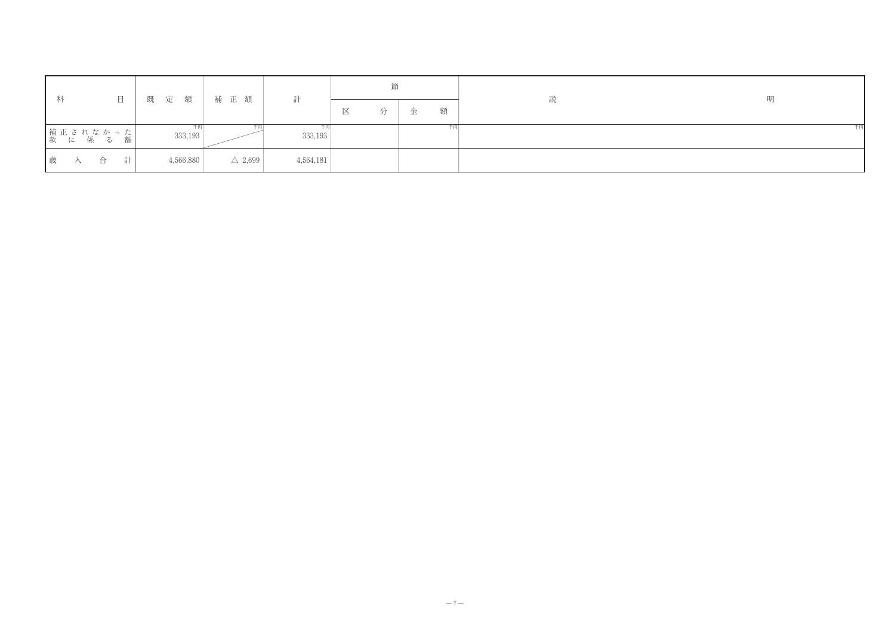| 科 |     |                           |   |  |           | 目 既 定 額   補 正 額 |                   |  |           |   | 節 |   | 説 | 明 |
|---|-----|---------------------------|---|--|-----------|-----------------|-------------------|--|-----------|---|---|---|---|---|
|   |     |                           |   |  |           |                 |                   |  |           | 区 |   | 額 |   |   |
|   |     | ┃補正されなかった┃<br>┃款 に 係 る 額┃ |   |  | 333,193   |                 |                   |  | 333,193   |   |   |   |   |   |
|   | 歳 入 | 合                         | 計 |  | 4,566,880 |                 | $\triangle$ 2,699 |  | 4,564,181 |   |   |   |   |   |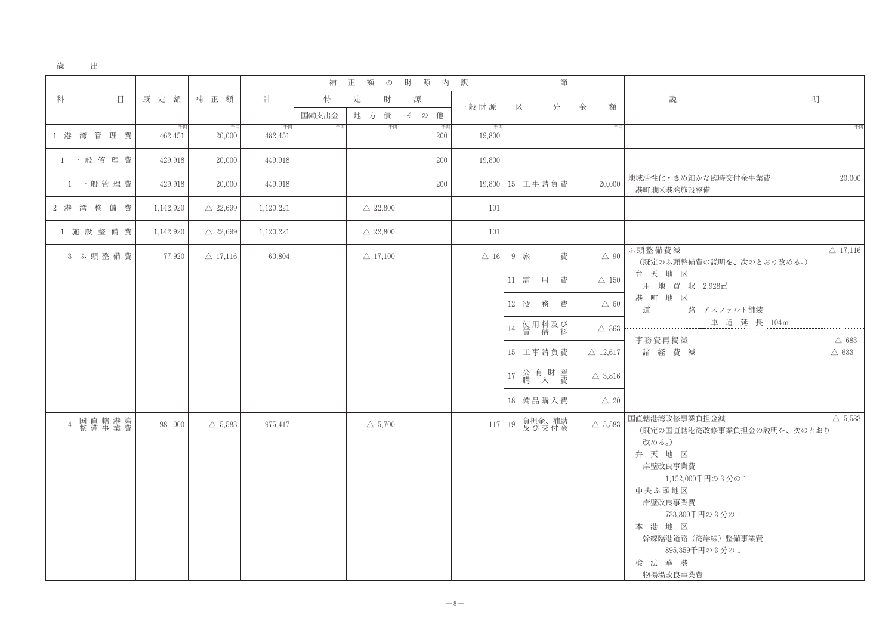| 歳 | 出 |
|---|---|

|                |               |                    |               | 補          | 正<br>額 | $\mathcal{D}$      | 財<br>源<br>内  | 訳              |      |                   | 節 |                    |                                   |
|----------------|---------------|--------------------|---------------|------------|--------|--------------------|--------------|----------------|------|-------------------|---|--------------------|-----------------------------------|
| 科<br>$\Box$    | 既定額           | 補 正 額              | 計             | 特<br>国遒支出金 | 定      | 財<br>地方債           | 源<br>その<br>他 | 一般財源           | 区    |                   | 分 | 金<br>額             | 説                                 |
| 1 港 湾 管 理 費    | 千円<br>462,451 | 千円<br>20,000       | 千円<br>482,451 | 千円         |        | 千円                 | 千円<br>200    | 千円<br>19,800   |      |                   |   | 千円                 |                                   |
| 1 一般管理費        | 429,918       | 20,000             | 449,918       |            |        |                    | 200          | 19,800         |      |                   |   |                    |                                   |
| 1 一般管理費        | 429,918       | 20,000             | 449,918       |            |        |                    | 200          | 19,800         |      | 15 工事請負費          |   | 20,000             | 地域活性化・き<br>港町地区港湾                 |
| 2 港 湾 整 備 費    | 1,142,920     | $\triangle$ 22,699 | 1,120,221     |            |        | $\triangle$ 22,800 |              | 101            |      |                   |   |                    |                                   |
| 1 施設整備費        | 1,142,920     | $\triangle$ 22,699 | 1,120,221     |            |        | $\triangle$ 22,800 |              | 101            |      |                   |   |                    |                                   |
| 3 ふ頭整備費        | 77,920        | $\triangle$ 17,116 | 60,804        |            |        | $\triangle$ 17,100 |              | $\triangle$ 16 |      | 9 旅               | 費 | $\triangle$ 90     | ふ頭整備費海<br>(既定のふ勇                  |
|                |               |                    |               |            |        |                    |              |                | 11 需 | 用                 | 費 | $\triangle~150$    | 弁天地<br>用地買                        |
|                |               |                    |               |            |        |                    |              |                | 12 役 | 務                 | 費 | $\triangle$ 60     | 港町地<br>道                          |
|                |               |                    |               |            |        |                    |              |                |      | 14 使用料及び<br>賃 借 料 |   | $\triangle$ 363    |                                   |
|                |               |                    |               |            |        |                    |              |                |      | 15 工事請負費          |   | $\triangle$ 12,617 | 事務費再掲<br>諸経費                      |
|                |               |                    |               |            |        |                    |              |                | 17   | 公 有 財 産<br>購 入 費  |   | $\triangle$ 3,816  |                                   |
|                |               |                    |               |            |        |                    |              |                |      | 18 備品購入費          |   | $\triangle 20$     |                                   |
| 国直轄港湾<br>整備事業費 | 981,000       | $\triangle$ 5,583  | 975,417       |            |        | $\triangle$ 5,700  |              | 117            | 19   | 負担金、補助<br>及び交付金   |   | $\triangle$ 5,583  | 国直轄港湾改修<br>(既定の国直<br>改める。)<br>弁天地 |
|                |               |                    |               |            |        |                    |              |                |      |                   |   |                    | 岸壁改良事<br>1,15                     |
|                |               |                    |               |            |        |                    |              |                |      |                   |   |                    | 中央ふ頭地                             |
|                |               |                    |               |            |        |                    |              |                |      |                   |   |                    | 岸壁改良事<br>733                      |
|                |               |                    |               |            |        |                    |              |                |      |                   |   |                    | 本港地                               |
|                |               |                    |               |            |        |                    |              |                |      |                   |   |                    | 幹線臨港道<br>895                      |
|                |               |                    |               |            |        |                    |              |                |      |                   |   |                    | 椴 法 華<br>物揚場改良                    |

| 明                                                                                                            |                                    |
|--------------------------------------------------------------------------------------------------------------|------------------------------------|
|                                                                                                              | 千円                                 |
|                                                                                                              |                                    |
| きめ細かな臨時交付金事業費<br>弯施設整備                                                                                       | 20,000                             |
|                                                                                                              |                                    |
| 戓<br>頂整備費の説明を、次のとおり改める。)<br>区<br>置 収 2,928m2<br>区<br>路 アスファルト舗装<br>車 道 延 長 104m                              | $\triangle$ 17,116                 |
| 訂減<br>晝<br>減                                                                                                 | $\triangle$ 683<br>$\triangle$ 683 |
| 多事業負担金減<br>直轄港湾改修事業負担金の説明を、次のとおり                                                                             | $\triangle$ 5,583                  |
| 区<br>事業費<br>52,000千円の 3 分の 1<br>回区<br>事業費<br>,800千円の3分の1<br>区<br>首路(湾岸線)整備事業費<br>,359千円の 3 分の 1<br>港<br>良事業費 |                                    |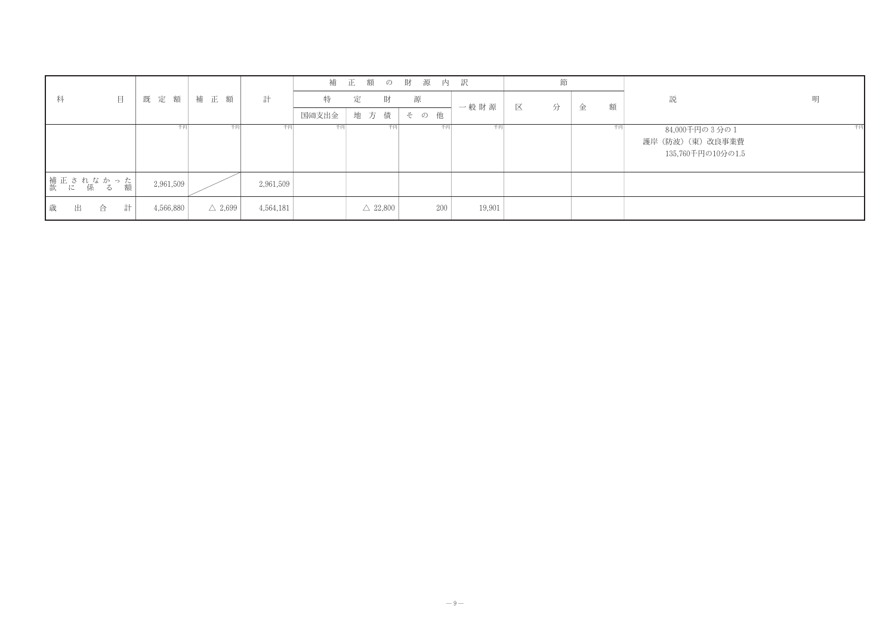|        |                        |   |  |           |       |                   |           | 補     | 正 | 額   | $\mathcal{D}$      | 財   | 源 | 内   | 一訳     |   | 節 |   |    |       |
|--------|------------------------|---|--|-----------|-------|-------------------|-----------|-------|---|-----|--------------------|-----|---|-----|--------|---|---|---|----|-------|
| 科      | 目                      |   |  | 既定額       | 補 正 額 |                   | 計         | 特     | 定 |     | 財                  | 源   |   |     |        |   |   |   |    | 説     |
|        |                        |   |  |           |       |                   |           | 国遒支出金 |   | 地方債 |                    | その他 |   |     | 一般財源   | 区 | 分 | 金 | 額  |       |
|        |                        |   |  | 千円        |       | 千円                | 千円        | 千円    |   |     | 千円                 |     |   | 千円  | 千円     |   |   |   | 千円 | 84,0  |
|        |                        |   |  |           |       |                   |           |       |   |     |                    |     |   |     |        |   |   |   |    | 護岸(防波 |
|        |                        |   |  |           |       |                   |           |       |   |     |                    |     |   |     |        |   |   |   |    | 135   |
|        |                        |   |  |           |       |                   |           |       |   |     |                    |     |   |     |        |   |   |   |    |       |
|        | 精正されなかった<br> 款 に 係 る 額 |   |  | 2,961,509 |       |                   | 2,961,509 |       |   |     |                    |     |   |     |        |   |   |   |    |       |
| 歳<br>出 | 合                      | 計 |  | 4,566,880 |       | $\triangle$ 2,699 | 4,564,181 |       |   |     | $\triangle$ 22,800 |     |   | 200 | 19,901 |   |   |   |    |       |

明

千円

000千円の3分の1 波) (東) 改良事業費 5,760千円の10分の1.5